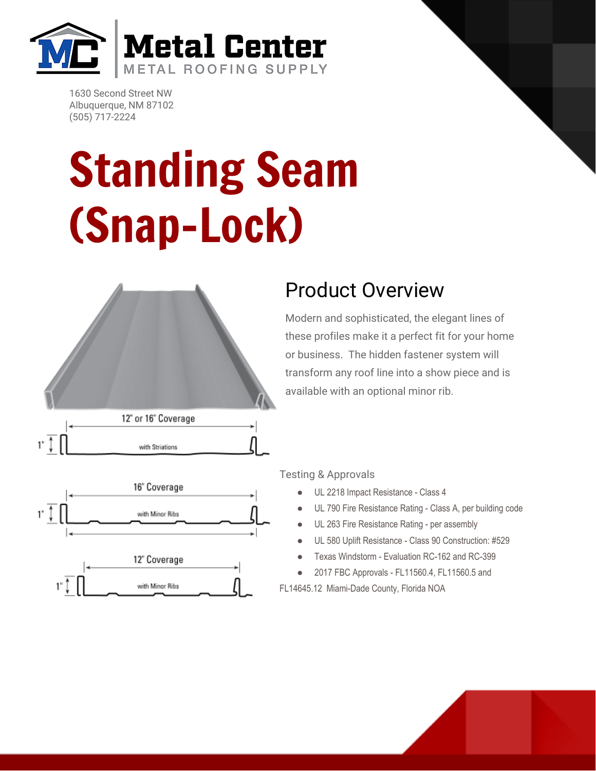

1630 Second Street NW Albuquerque, NM 87102 (505) 717-2224

## Standing Seam (Snap-Lock)



## Product Overview

Modern and sophisticated, the elegant lines of these profiles make it a perfect fit for your home or business. The hidden fastener system will transform any roof line into a show piece and is available with an optional minor rib.



with Striations

1" Ĵ

Testing & Approvals

- UL 2218 Impact Resistance Class 4
- UL 790 Fire Resistance Rating Class A, per building code
- UL 263 Fire Resistance Rating per assembly
- UL 580 Uplift Resistance Class 90 Construction: #529
- Texas Windstorm Evaluation RC-162 and RC-399
- 2017 FBC Approvals FL11560.4, FL11560.5 and

FL14645.12 Miami-Dade County, Florida NOA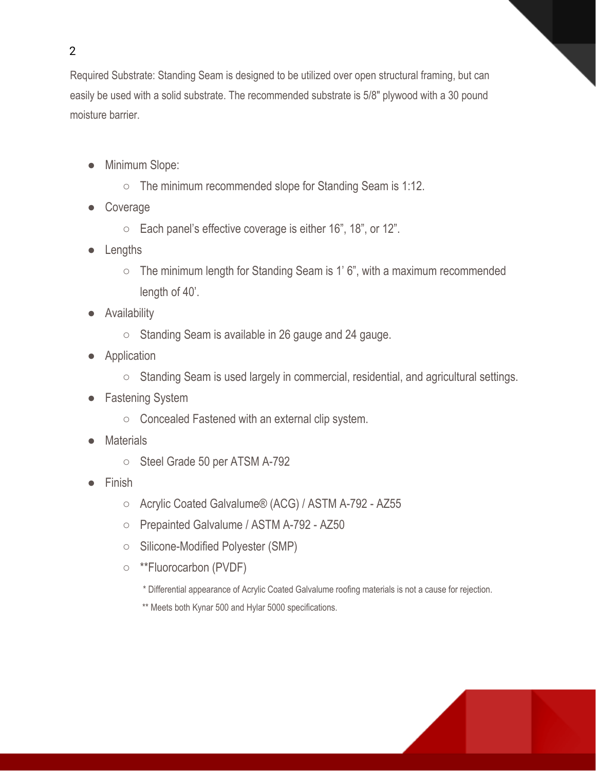Required Substrate: Standing Seam is designed to be utilized over open structural framing, but can easily be used with a solid substrate. The recommended substrate is 5/8" plywood with a 30 pound moisture barrier.

- Minimum Slope:
	- The minimum recommended slope for Standing Seam is 1:12.
- Coverage
	- Each panel's effective coverage is either 16", 18", or 12".
- Lengths
	- The minimum length for Standing Seam is 1' 6", with a maximum recommended length of 40'.
- Availability
	- Standing Seam is available in 26 gauge and 24 gauge.
- Application
	- Standing Seam is used largely in commercial, residential, and agricultural settings.
- Fastening System
	- Concealed Fastened with an external clip system.
- Materials
	- Steel Grade 50 per ATSM A-792
- **Finish** 
	- Acrylic Coated Galvalume® (ACG) / ASTM A-792 AZ55
	- Prepainted Galvalume / ASTM A-792 AZ50
	- Silicone-Modified Polyester (SMP)
	- \*\*Fluorocarbon (PVDF)
		- \* Differential appearance of Acrylic Coated Galvalume roofing materials is not a cause for rejection.
		- \*\* Meets both Kynar 500 and Hylar 5000 specifications.